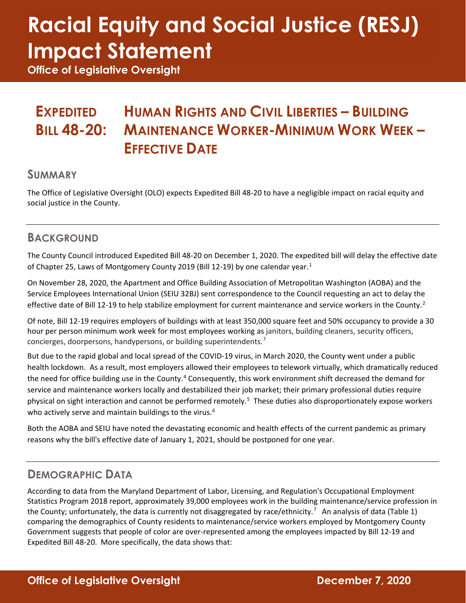# **Racial Equity and Social Justice (RESJ) Impact Statement**

**Office of Legislative Oversight**

#### **EXPEDITED BILL 48-20: HUMAN RIGHTS AND CIVIL LIBERTIES – BUILDING MAINTENANCE WORKER-MINIMUM WORK WEEK – EFFECTIVE DATE**

#### **SUMMARY**

The Office of Legislative Oversight (OLO) expects Expedited Bill 48-20 to have a negligible impact on racial equity and social justice in the County.

#### **BACKGROUND**

The County Council introduced Expedited Bill 48-20 on December 1, 2020. The expedited bill will delay the effective date of Chapter 25, Laws of Montgomery County 20[1](#page-2-0)9 (Bill 12-19) by one calendar year.<sup>1</sup>

On November 28, 2020, the Apartment and Office Building Association of Metropolitan Washington (AOBA) and the Service Employees International Union (SEIU 32BJ) sent correspondence to the Council requesting an act to delay the effective date of Bill 1[2](#page-2-1)-19 to help stabilize employment for current maintenance and service workers in the County.<sup>2</sup>

Of note, Bill 12-19 requires employers of buildings with at least 350,000 square feet and 50% occupancy to provide a 30 hour per person minimum work week for most employees working as janitors, building cleaners, security officers, concierges, doorpersons, handypersons, or building superintendents.<sup>[3](#page-2-2)</sup>

But due to the rapid global and local spread of the COVID-19 virus, in March 2020, the County went under a public health lockdown. As a result, most employers allowed their employees to telework virtually, which dramatically reduced the need for office building use in the County.<sup>[4](#page-2-3)</sup> Consequently, this work environment shift decreased the demand for service and maintenance workers locally and destabilized their job market; their primary professional duties require physical on sight interaction and cannot be performed remotely.<sup>[5](#page-2-4)</sup> These duties also disproportionately expose workers who actively serve and maintain buildings to the virus.<sup>[6](#page-2-5)</sup>

Both the AOBA and SEIU have noted the devastating economic and health effects of the current pandemic as primary reasons why the bill's effective date of January 1, 2021, should be postponed for one year.

### **DEMOGRAPHIC DATA**

According to data from the Maryland Department of Labor, Licensing, and Regulation's Occupational Employment Statistics Program 2018 report, approximately 39,000 employees work in the building maintenance/service profession in the County; unfortunately, the data is currently not disaggregated by race/ethnicity.<sup>[7](#page-2-6)</sup> An analysis of data (Table 1) comparing the demographics of County residents to maintenance/service workers employed by Montgomery County Government suggests that people of color are over-represented among the employees impacted by Bill 12-19 and Expedited Bill 48-20. More specifically, the data shows that: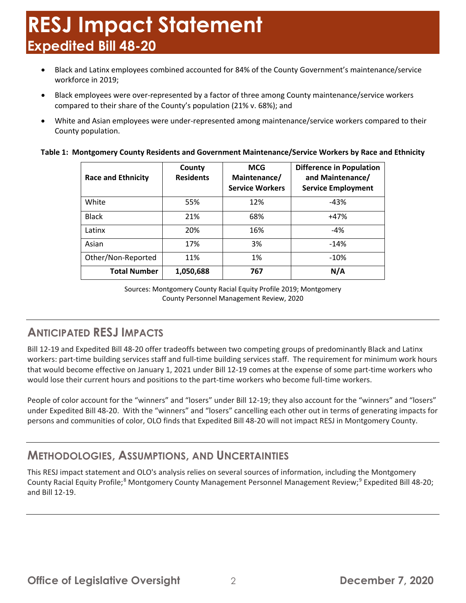## **RESJ Impact Statement Expedited Bill 48-20**

- Black and Latinx employees combined accounted for 84% of the County Government's maintenance/service workforce in 2019;
- Black employees were over-represented by a factor of three among County maintenance/service workers compared to their share of the County's population (21% v. 68%); and
- White and Asian employees were under-represented among maintenance/service workers compared to their County population.

#### **Table 1: Montgomery County Residents and Government Maintenance/Service Workers by Race and Ethnicity**

| <b>Race and Ethnicity</b> | County<br><b>Residents</b> | <b>MCG</b><br>Maintenance/<br><b>Service Workers</b> | <b>Difference in Population</b><br>and Maintenance/<br><b>Service Employment</b> |
|---------------------------|----------------------------|------------------------------------------------------|----------------------------------------------------------------------------------|
| White                     | 55%                        | 12%                                                  | $-43%$                                                                           |
| <b>Black</b>              | 21%                        | 68%                                                  | $+47%$                                                                           |
| Latinx                    | 20%                        | 16%                                                  | $-4%$                                                                            |
| Asian                     | 17%                        | 3%                                                   | $-14%$                                                                           |
| Other/Non-Reported        | 11%                        | 1%                                                   | $-10%$                                                                           |
| <b>Total Number</b>       | 1,050,688                  | 767                                                  | N/A                                                                              |

Sources: Montgomery County Racial Equity Profile 2019; Montgomery County Personnel Management Review, 2020

### **ANTICIPATED RESJ IMPACTS**

Bill 12-19 and Expedited Bill 48-20 offer tradeoffs between two competing groups of predominantly Black and Latinx workers: part-time building services staff and full-time building services staff. The requirement for minimum work hours that would become effective on January 1, 2021 under Bill 12-19 comes at the expense of some part-time workers who would lose their current hours and positions to the part-time workers who become full-time workers.

People of color account for the "winners" and "losers" under Bill 12-19; they also account for the "winners" and "losers" under Expedited Bill 48-20. With the "winners" and "losers" cancelling each other out in terms of generating impacts for persons and communities of color, OLO finds that Expedited Bill 48-20 will not impact RESJ in Montgomery County.

#### **METHODOLOGIES, ASSUMPTIONS, AND UNCERTAINTIES**

This RESJ impact statement and OLO's analysis relies on several sources of information, including the Montgomery County Racial Equity Profile;<sup>[8](#page-2-7)</sup> Montgomery County Management Personnel Management Review;<sup>[9](#page-2-8)</sup> Expedited Bill 48-20; and Bill 12-19.